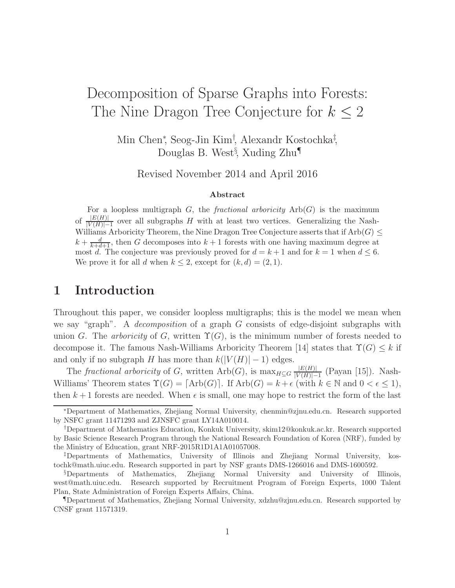# Decomposition of Sparse Graphs into Forests: The Nine Dragon Tree Conjecture for  $k \leq 2$

Min Chen<sup>∗</sup> , Seog-Jin Kim† , Alexandr Kostochka‡ , Douglas B. West<sup>§</sup>, Xuding Zhu<sup>¶</sup>

Revised November 2014 and April 2016

#### Abstract

For a loopless multigraph G, the *fractional arboricity*  $Arb(G)$  is the maximum of  $\frac{|E(H)|}{|V(H)|-1}$  over all subgraphs H with at least two vertices. Generalizing the Nash-Williams Arboricity Theorem, the Nine Dragon Tree Conjecture asserts that if  $Arb(G) \leq$  $k + \frac{d}{k+d+1}$ , then G decomposes into  $k+1$  forests with one having maximum degree at most d. The conjecture was previously proved for  $d = k + 1$  and for  $k = 1$  when  $d \leq 6$ . We prove it for all d when  $k \leq 2$ , except for  $(k, d) = (2, 1)$ .

# 1 Introduction

Throughout this paper, we consider loopless multigraphs; this is the model we mean when we say "graph". A *decomposition* of a graph  $G$  consists of edge-disjoint subgraphs with union G. The arboricity of G, written  $\Upsilon(G)$ , is the minimum number of forests needed to decompose it. The famous Nash-Williams Arboricity Theorem [14] states that  $\Upsilon(G) \leq k$  if and only if no subgraph H has more than  $k(|V(H)|-1)$  edges.

The fractional arboricity of G, written  $Arb(G)$ , is  $\max_{H \subseteq G} \frac{|E(H)|}{|V(H)|-1}$  $\frac{|E(H)|}{|V(H)|-1}$  (Payan [15]). Nash-Williams' Theorem states  $\Upsilon(G) = [\text{Arb}(G)]$ . If  $\text{Arb}(G) = k + \epsilon$  (with  $k \in \mathbb{N}$  and  $0 < \epsilon \leq 1$ ), then  $k+1$  forests are needed. When  $\epsilon$  is small, one may hope to restrict the form of the last

<sup>∗</sup>Department of Mathematics, Zhejiang Normal University, chenmin@zjnu.edu.cn. Research supported by NSFC grant 11471293 and ZJNSFC grant LY14A010014.

<sup>†</sup>Department of Mathematics Education, Konkuk University, skim12@konkuk.ac.kr. Research supported by Basic Science Research Program through the National Research Foundation of Korea (NRF), funded by the Ministry of Education, grant NRF-2015R1D1A1A01057008.

<sup>‡</sup>Departments of Mathematics, University of Illinois and Zhejiang Normal University, kostochk@math.uiuc.edu. Research supported in part by NSF grants DMS-1266016 and DMS-1600592.

<sup>§</sup>Departments of Mathematics, Zhejiang Normal University and University of Illinois, west@math.uiuc.edu. Research supported by Recruitment Program of Foreign Experts, 1000 Talent Plan, State Administration of Foreign Experts Affairs, China.

<sup>¶</sup>Department of Mathematics, Zhejiang Normal University, xdzhu@zjnu.edu.cn. Research supported by CNSF grant 11571319.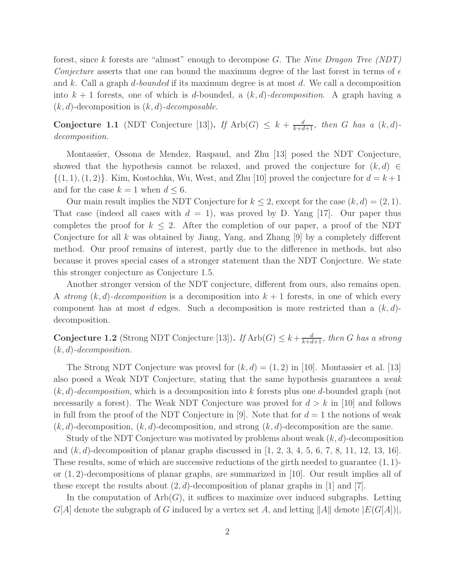forest, since k forests are "almost" enough to decompose  $G$ . The Nine Dragon Tree (NDT) Conjecture asserts that one can bound the maximum degree of the last forest in terms of  $\epsilon$ and k. Call a graph d-bounded if its maximum degree is at most d. We call a decomposition into  $k + 1$  forests, one of which is d-bounded, a  $(k, d)$ -decomposition. A graph having a  $(k, d)$ -decomposition is  $(k, d)$ -decomposable.

**Conjecture 1.1** (NDT Conjecture [13]). If  $\text{Arb}(G) \leq k + \frac{d}{k+d+1}$ , then G has a  $(k, d)$ decomposition.

Montassier, Ossona de Mendez, Raspaud, and Zhu [13] posed the NDT Conjecture, showed that the hypothesis cannot be relaxed, and proved the conjecture for  $(k, d) \in$  $\{(1, 1), (1, 2)\}$ . Kim, Kostochka, Wu, West, and Zhu [10] proved the conjecture for  $d = k + 1$ and for the case  $k = 1$  when  $d \leq 6$ .

Our main result implies the NDT Conjecture for  $k \leq 2$ , except for the case  $(k, d) = (2, 1)$ . That case (indeed all cases with  $d = 1$ ), was proved by D. Yang [17]. Our paper thus completes the proof for  $k \leq 2$ . After the completion of our paper, a proof of the NDT Conjecture for all k was obtained by Jiang, Yang, and Zhang  $[9]$  by a completely different method. Our proof remains of interest, partly due to the difference in methods, but also because it proves special cases of a stronger statement than the NDT Conjecture. We state this stronger conjecture as Conjecture 1.5.

Another stronger version of the NDT conjecture, different from ours, also remains open. A strong  $(k, d)$ -decomposition is a decomposition into  $k + 1$  forests, in one of which every component has at most d edges. Such a decomposition is more restricted than a  $(k, d)$ decomposition.

**Conjecture 1.2** (Strong NDT Conjecture [13]). If  $\text{Arb}(G) \leq k + \frac{d}{k+d+1}$ , then G has a strong  $(k, d)$ -decomposition.

The Strong NDT Conjecture was proved for  $(k, d) = (1, 2)$  in [10]. Montassier et al. [13] also posed a Weak NDT Conjecture, stating that the same hypothesis guarantees a weak  $(k, d)$ -decomposition, which is a decomposition into k forests plus one d-bounded graph (not necessarily a forest). The Weak NDT Conjecture was proved for  $d > k$  in [10] and follows in full from the proof of the NDT Conjecture in [9]. Note that for  $d = 1$  the notions of weak  $(k, d)$ -decomposition,  $(k, d)$ -decomposition, and strong  $(k, d)$ -decomposition are the same.

Study of the NDT Conjecture was motivated by problems about weak  $(k, d)$ -decomposition and  $(k, d)$ -decomposition of planar graphs discussed in [1, 2, 3, 4, 5, 6, 7, 8, 11, 12, 13, 16]. These results, some of which are successive reductions of the girth needed to guarantee (1, 1) or  $(1, 2)$ -decompositions of planar graphs, are summarized in [10]. Our result implies all of these except the results about  $(2, d)$ -decomposition of planar graphs in [1] and [7].

In the computation of  $Arb(G)$ , it suffices to maximize over induced subgraphs. Letting  $G[A]$  denote the subgraph of G induced by a vertex set A, and letting  $||A||$  denote  $|E(G[A])|$ ,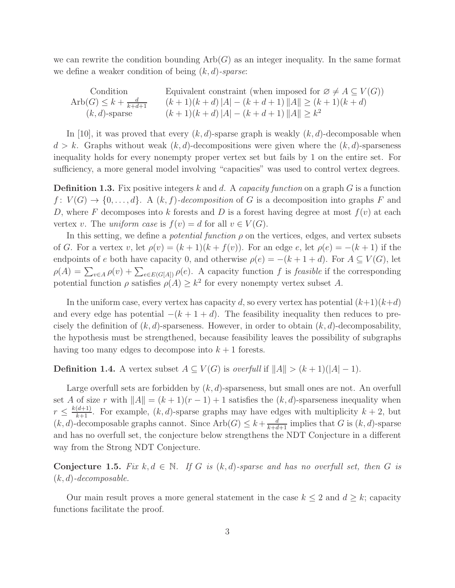we can rewrite the condition bounding  $Arb(G)$  as an integer inequality. In the same format we define a weaker condition of being  $(k, d)$ -sparse:

Condition  
\n
$$
\begin{array}{ll}\n\text{Condition} & \text{Equivalent constraint (when imposed for } \varnothing \neq A \subseteq V(G)) \\
\text{Arb}(G) \leq k + \frac{d}{k+d+1} & (k+1)(k+d) \, |A| - (k+d+1) \, \|A\| \geq (k+1)(k+d) \\
& (k,d)\text{-sparse} & (k+1)(k+d) \, |A| - (k+d+1) \, \|A\| \geq k^2\n\end{array}
$$

In [10], it was proved that every  $(k, d)$ -sparse graph is weakly  $(k, d)$ -decomposable when  $d > k$ . Graphs without weak  $(k, d)$ -decompositions were given where the  $(k, d)$ -sparseness inequality holds for every nonempty proper vertex set but fails by 1 on the entire set. For sufficiency, a more general model involving "capacities" was used to control vertex degrees.

**Definition 1.3.** Fix positive integers k and d. A capacity function on a graph  $G$  is a function  $f: V(G) \to \{0, \ldots, d\}$ . A  $(k, f)$ -decomposition of G is a decomposition into graphs F and D, where F decomposes into k forests and D is a forest having degree at most  $f(v)$  at each vertex v. The uniform case is  $f(v) = d$  for all  $v \in V(G)$ .

In this setting, we define a *potential function*  $\rho$  on the vertices, edges, and vertex subsets of G. For a vertex v, let  $\rho(v) = (k+1)(k+f(v))$ . For an edge e, let  $\rho(e) = -(k+1)$  if the endpoints of e both have capacity 0, and otherwise  $\rho(e) = -(k+1+d)$ . For  $A \subseteq V(G)$ , let  $\rho(A) = \sum_{v \in A} \rho(v) + \sum_{e \in E(G[A])} \rho(e)$ . A capacity function f is feasible if the corresponding potential function  $\rho$  satisfies  $\rho(A) \geq k^2$  for every nonempty vertex subset A.

In the uniform case, every vertex has capacity d, so every vertex has potential  $(k+1)(k+d)$ and every edge has potential  $-(k+1+d)$ . The feasibility inequality then reduces to precisely the definition of  $(k, d)$ -sparseness. However, in order to obtain  $(k, d)$ -decomposability, the hypothesis must be strengthened, because feasibility leaves the possibility of subgraphs having too many edges to decompose into  $k+1$  forests.

**Definition 1.4.** A vertex subset  $A \subseteq V(G)$  is *overfull* if  $||A|| > (k+1)(|A|-1)$ .

Large overfull sets are forbidden by  $(k, d)$ -sparseness, but small ones are not. An overfull set A of size r with  $||A|| = (k + 1)(r - 1) + 1$  satisfies the  $(k, d)$ -sparseness inequality when  $r \leq \frac{k(d+1)}{k+1}$ . For example,  $(k, d)$ -sparse graphs may have edges with multiplicity  $k+2$ , but  $(k, d)$ -decomposable graphs cannot. Since  $Arb(G) \leq k + \frac{d}{k+d+1}$  implies that G is  $(k, d)$ -sparse and has no overfull set, the conjecture below strengthens the NDT Conjecture in a different way from the Strong NDT Conjecture.

Conjecture 1.5. Fix  $k, d \in \mathbb{N}$ . If G is  $(k, d)$ -sparse and has no overfull set, then G is  $(k, d)$ -decomposable.

Our main result proves a more general statement in the case  $k \leq 2$  and  $d \geq k$ ; capacity functions facilitate the proof.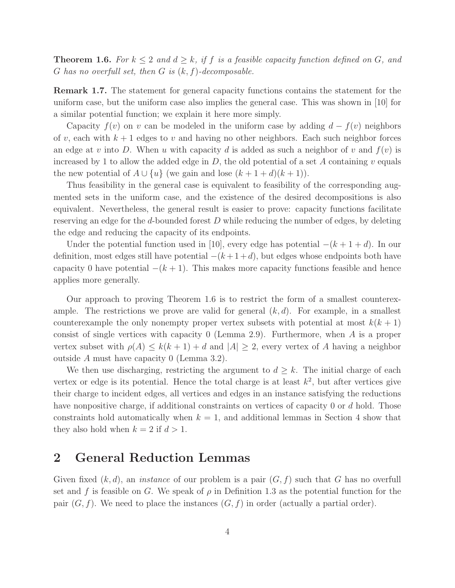**Theorem 1.6.** For  $k \leq 2$  and  $d \geq k$ , if f is a feasible capacity function defined on G, and G has no overfull set, then  $G$  is  $(k, f)$ -decomposable.

Remark 1.7. The statement for general capacity functions contains the statement for the uniform case, but the uniform case also implies the general case. This was shown in [10] for a similar potential function; we explain it here more simply.

Capacity  $f(v)$  on v can be modeled in the uniform case by adding  $d - f(v)$  neighbors of v, each with  $k+1$  edges to v and having no other neighbors. Each such neighbor forces an edge at v into D. When u with capacity d is added as such a neighbor of v and  $f(v)$  is increased by 1 to allow the added edge in D, the old potential of a set A containing v equals the new potential of  $A \cup \{u\}$  (we gain and lose  $(k+1+d)(k+1)$ ).

Thus feasibility in the general case is equivalent to feasibility of the corresponding augmented sets in the uniform case, and the existence of the desired decompositions is also equivalent. Nevertheless, the general result is easier to prove: capacity functions facilitate reserving an edge for the d-bounded forest  $D$  while reducing the number of edges, by deleting the edge and reducing the capacity of its endpoints.

Under the potential function used in [10], every edge has potential  $-(k+1+d)$ . In our definition, most edges still have potential  $-(k+1+d)$ , but edges whose endpoints both have capacity 0 have potential  $-(k+1)$ . This makes more capacity functions feasible and hence applies more generally.

Our approach to proving Theorem 1.6 is to restrict the form of a smallest counterexample. The restrictions we prove are valid for general  $(k, d)$ . For example, in a smallest counterexample the only nonempty proper vertex subsets with potential at most  $k(k+1)$ consist of single vertices with capacity 0 (Lemma 2.9). Furthermore, when A is a proper vertex subset with  $\rho(A) \leq k(k+1) + d$  and  $|A| \geq 2$ , every vertex of A having a neighbor outside A must have capacity 0 (Lemma 3.2).

We then use discharging, restricting the argument to  $d \geq k$ . The initial charge of each vertex or edge is its potential. Hence the total charge is at least  $k^2$ , but after vertices give their charge to incident edges, all vertices and edges in an instance satisfying the reductions have nonpositive charge, if additional constraints on vertices of capacity 0 or d hold. Those constraints hold automatically when  $k = 1$ , and additional lemmas in Section 4 show that they also hold when  $k = 2$  if  $d > 1$ .

### 2 General Reduction Lemmas

Given fixed  $(k, d)$ , an *instance* of our problem is a pair  $(G, f)$  such that G has no overfull set and f is feasible on G. We speak of  $\rho$  in Definition 1.3 as the potential function for the pair  $(G, f)$ . We need to place the instances  $(G, f)$  in order (actually a partial order).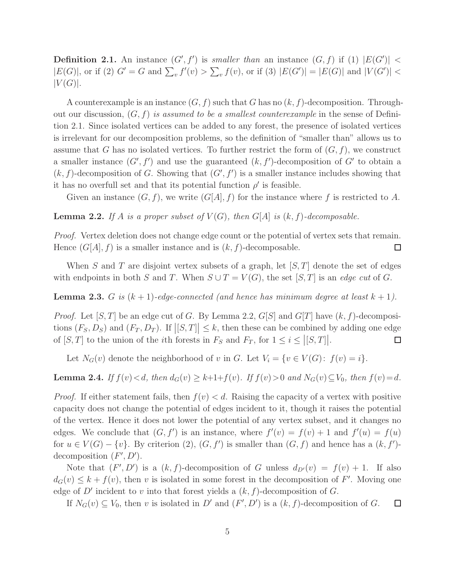**Definition 2.1.** An instance  $(G', f')$  is smaller than an instance  $(G, f)$  if (1)  $|E(G')|$  <  $|E(G)|$ , or if (2)  $G' = G$  and  $\sum_{v} f'(v) > \sum_{v} f(v)$ , or if (3)  $|E(G')| = |E(G)|$  and  $|V(G')| <$  $|V(G)|$ .

A counterexample is an instance  $(G, f)$  such that G has no  $(k, f)$ -decomposition. Throughout our discussion,  $(G, f)$  is assumed to be a smallest counterexample in the sense of Definition 2.1. Since isolated vertices can be added to any forest, the presence of isolated vertices is irrelevant for our decomposition problems, so the definition of "smaller than" allows us to assume that G has no isolated vertices. To further restrict the form of  $(G, f)$ , we construct a smaller instance  $(G', f')$  and use the guaranteed  $(k, f')$ -decomposition of  $G'$  to obtain a  $(k, f)$ -decomposition of G. Showing that  $(G', f')$  is a smaller instance includes showing that it has no overfull set and that its potential function  $\rho'$  is feasible.

Given an instance  $(G, f)$ , we write  $(G[A], f)$  for the instance where f is restricted to A.

**Lemma 2.2.** If A is a proper subset of  $V(G)$ , then  $G[A]$  is  $(k, f)$ -decomposable.

Proof. Vertex deletion does not change edge count or the potential of vertex sets that remain. Hence  $(G[A], f)$  is a smaller instance and is  $(k, f)$ -decomposable.  $\Box$ 

When S and T are disjoint vertex subsets of a graph, let  $[S, T]$  denote the set of edges with endpoints in both S and T. When  $S \cup T = V(G)$ , the set [S, T] is an edge cut of G.

**Lemma 2.3.** G is  $(k + 1)$ -edge-connected (and hence has minimum degree at least  $k + 1$ ).

*Proof.* Let [S, T] be an edge cut of G. By Lemma 2.2,  $G[S]$  and  $G[T]$  have  $(k, f)$ -decompositions  $(F_S, D_S)$  and  $(F_T, D_T)$ . If  $|[S,T]| \leq k$ , then these can be combined by adding one edge of  $[S, T]$  to the union of the *i*th forests in  $F_S$  and  $F_T$ , for  $1 \leq i \leq |[S, T]|$ .

Let  $N_G(v)$  denote the neighborhood of v in G. Let  $V_i = \{v \in V(G): f(v) = i\}.$ 

**Lemma 2.4.** If  $f(v) < d$ , then  $d_G(v) \ge k+1+f(v)$ . If  $f(v) > 0$  and  $N_G(v) \subseteq V_0$ , then  $f(v) = d$ .

*Proof.* If either statement fails, then  $f(v) < d$ . Raising the capacity of a vertex with positive capacity does not change the potential of edges incident to it, though it raises the potential of the vertex. Hence it does not lower the potential of any vertex subset, and it changes no edges. We conclude that  $(G, f')$  is an instance, where  $f'(v) = f(v) + 1$  and  $f'(u) = f(u)$ for  $u \in V(G) - \{v\}$ . By criterion  $(2), (G, f')$  is smaller than  $(G, f)$  and hence has a  $(k, f')$ decomposition  $(F', D')$ .

Note that  $(F', D')$  is a  $(k, f)$ -decomposition of G unless  $d_{D'}(v) = f(v) + 1$ . If also  $d_G(v) \leq k + f(v)$ , then v is isolated in some forest in the decomposition of F'. Moving one edge of  $D'$  incident to v into that forest yields a  $(k, f)$ -decomposition of G.

If  $N_G(v) \subseteq V_0$ , then v is isolated in D' and  $(F', D')$  is a  $(k, f)$ -decomposition of G.  $\Box$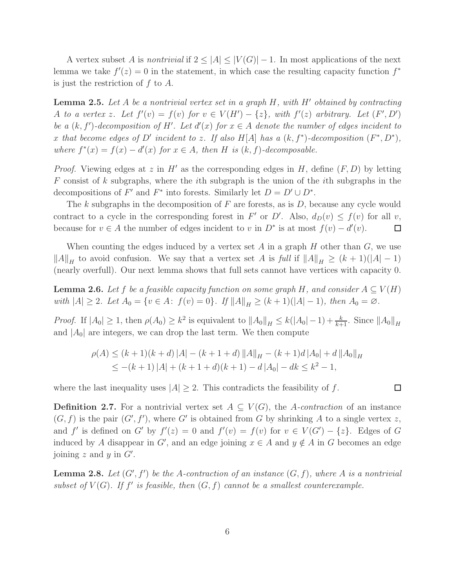A vertex subset A is nontrivial if  $2 \leq |A| \leq |V(G)| - 1$ . In most applications of the next lemma we take  $f'(z) = 0$  in the statement, in which case the resulting capacity function  $f^*$ is just the restriction of  $f$  to  $\tilde{A}$ .

**Lemma 2.5.** Let  $A$  be a nontrivial vertex set in a graph  $H$ , with  $H'$  obtained by contracting A to a vertex z. Let  $f'(v) = f(v)$  for  $v \in V(H') - \{z\}$ , with  $f'(z)$  arbitrary. Let  $(F', D')$ be a  $(k, f')$ -decomposition of H'. Let  $d'(x)$  for  $x \in A$  denote the number of edges incident to x that become edges of D' incident to z. If also H[A] has a  $(k, f^*)$ -decomposition  $(F^*, D^*)$ , where  $f^*(x) = f(x) - d'(x)$  for  $x \in A$ , then H is  $(k, f)$ -decomposable.

*Proof.* Viewing edges at z in H' as the corresponding edges in H, define  $(F, D)$  by letting  $F$  consist of k subgraphs, where the *i*th subgraph is the union of the *i*th subgraphs in the decompositions of  $F'$  and  $F^*$  into forests. Similarly let  $D = D' \cup D^*$ .

The k subgraphs in the decomposition of  $F$  are forests, as is  $D$ , because any cycle would contract to a cycle in the corresponding forest in F' or D'. Also,  $d_D(v) \leq f(v)$  for all v, because for  $v \in A$  the number of edges incident to v in  $D^*$  is at most  $f(v) - d'(v)$ .  $\Box$ 

When counting the edges induced by a vertex set  $A$  in a graph  $H$  other than  $G$ , we use  $||A||_H$  to avoid confusion. We say that a vertex set A is full if  $||A||_H \ge (k+1)(|A|-1)$ (nearly overfull). Our next lemma shows that full sets cannot have vertices with capacity 0.

**Lemma 2.6.** Let f be a feasible capacity function on some graph H, and consider  $A \subseteq V(H)$ with  $|A| \geq 2$ . Let  $A_0 = \{v \in A: f(v) = 0\}$ . If  $||A||_H \geq (k+1)(|A|-1)$ , then  $A_0 = \emptyset$ .

*Proof.* If  $|A_0| \geq 1$ , then  $\rho(A_0) \geq k^2$  is equivalent to  $||A_0||_H \leq k(|A_0| - 1) + \frac{k}{k+1}$ . Since  $||A_0||_H$ and  $|A_0|$  are integers, we can drop the last term. We then compute

$$
\rho(A) \le (k+1)(k+d) |A| - (k+1+d) ||A||_H - (k+1)d |A_0| + d ||A_0||_H
$$
  
 
$$
\le -(k+1) |A| + (k+1+d)(k+1) - d |A_0| - dk \le k^2 - 1,
$$

where the last inequality uses  $|A| \geq 2$ . This contradicts the feasibility of f.

**Definition 2.7.** For a nontrivial vertex set  $A \subseteq V(G)$ , the A-contraction of an instance  $(G, f)$  is the pair  $(G', f')$ , where G' is obtained from G by shrinking A to a single vertex z, and f' is defined on G' by  $f'(z) = 0$  and  $f'(v) = f(v)$  for  $v \in V(G') - \{z\}$ . Edges of G induced by A disappear in G', and an edge joining  $x \in A$  and  $y \notin A$  in G becomes an edge joining  $z$  and  $y$  in  $G'$ .

**Lemma 2.8.** Let  $(G', f')$  be the A-contraction of an instance  $(G, f)$ , where A is a nontrivial subset of  $V(G)$ . If  $f'$  is feasible, then  $(G, f)$  cannot be a smallest counterexample.

 $\Box$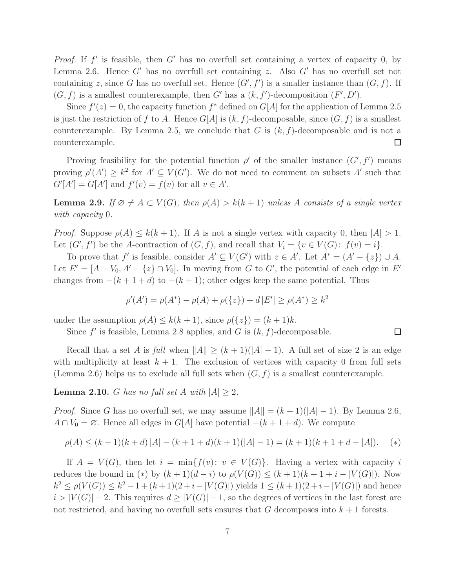*Proof.* If  $f'$  is feasible, then  $G'$  has no overfull set containing a vertex of capacity 0, by Lemma 2.6. Hence  $G'$  has no overfull set containing z. Also  $G'$  has no overfull set not containing z, since G has no overfull set. Hence  $(G', f')$  is a smaller instance than  $(G, f)$ . If  $(G, f)$  is a smallest counterexample, then G' has a  $(k, f')$ -decomposition  $(F', D')$ .

Since  $f'(z) = 0$ , the capacity function  $f^*$  defined on  $G[A]$  for the application of Lemma 2.5 is just the restriction of f to A. Hence  $G[A]$  is  $(k, f)$ -decomposable, since  $(G, f)$  is a smallest counterexample. By Lemma 2.5, we conclude that G is  $(k, f)$ -decomposable and is not a  $\Box$ counterexample.

Proving feasibility for the potential function  $\rho'$  of the smaller instance  $(G', f')$  means proving  $\rho'(A') \geq k^2$  for  $A' \subseteq V(G')$ . We do not need to comment on subsets A' such that  $G'[A'] = G[A']$  and  $f'(v) = f(v)$  for all  $v \in A'$ .

**Lemma 2.9.** If  $\emptyset \neq A \subset V(G)$ , then  $\rho(A) > k(k+1)$  unless A consists of a single vertex with capacity 0.

*Proof.* Suppose  $\rho(A) \leq k(k+1)$ . If A is not a single vertex with capacity 0, then  $|A| > 1$ . Let  $(G', f')$  be the A-contraction of  $(G, f)$ , and recall that  $V_i = \{v \in V(G): f(v) = i\}.$ 

To prove that f' is feasible, consider  $A' \subseteq V(G')$  with  $z \in A'$ . Let  $A^* = (A' - \{z\}) \cup A$ . Let  $E' = [A - V_0, A' - \{z\} \cap V_0]$ . In moving from G to G', the potential of each edge in E' changes from  $-(k+1+d)$  to  $-(k+1)$ ; other edges keep the same potential. Thus

$$
\rho'(A') = \rho(A^*) - \rho(A) + \rho({z}) + d |E'| \ge \rho(A^*) \ge k^2
$$

under the assumption  $\rho(A) \leq k(k+1)$ , since  $\rho({z}) = (k+1)k$ .

Since  $f'$  is feasible, Lemma 2.8 applies, and G is  $(k, f)$ -decomposable.

Recall that a set A is full when  $||A|| \ge (k+1)(|A|-1)$ . A full set of size 2 is an edge with multiplicity at least  $k + 1$ . The exclusion of vertices with capacity 0 from full sets (Lemma 2.6) helps us to exclude all full sets when  $(G, f)$  is a smallest counterexample.

 $\Box$ 

**Lemma 2.10.** G has no full set A with  $|A| > 2$ .

*Proof.* Since G has no overfull set, we may assume  $||A|| = (k+1)(|A| - 1)$ . By Lemma 2.6,  $A \cap V_0 = \emptyset$ . Hence all edges in  $G[A]$  have potential  $-(k+1+d)$ . We compute

$$
\rho(A) \le (k+1)(k+d) |A| - (k+1+d)(k+1)(|A|-1) = (k+1)(k+1+d-|A|). \tag{*}
$$

If  $A = V(G)$ , then let  $i = \min\{f(v): v \in V(G)\}\$ . Having a vertex with capacity i reduces the bound in (\*) by  $(k + 1)(d - i)$  to  $\rho(V(G)) \leq (k + 1)(k + 1 + i - |V(G)|)$ . Now  $k^2 \le \rho(V(G)) \le k^2 - 1 + (k+1)(2+i-|V(G)|)$  yields  $1 \le (k+1)(2+i-|V(G)|)$  and hence  $i > |V(G)| - 2$ . This requires  $d \geq |V(G)| - 1$ , so the degrees of vertices in the last forest are not restricted, and having no overfull sets ensures that G decomposes into  $k + 1$  forests.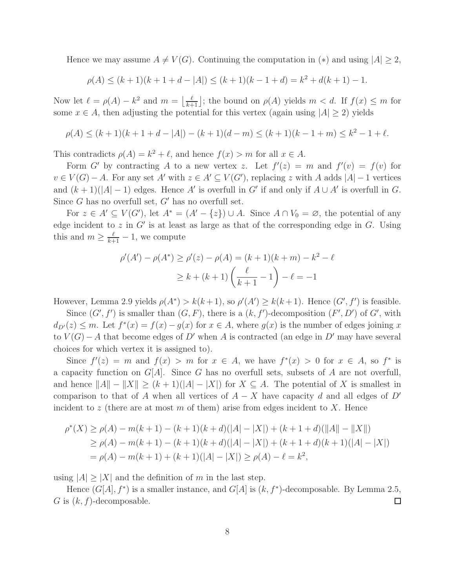Hence we may assume  $A \neq V(G)$ . Continuing the computation in (\*) and using  $|A| \geq 2$ ,

$$
\rho(A) \le (k+1)(k+1+d-|A|) \le (k+1)(k-1+d) = k^2 + d(k+1) - 1.
$$

Now let  $\ell = \rho(A) - k^2$  and  $m = \lfloor \frac{\ell}{k+1} \rfloor$ ; the bound on  $\rho(A)$  yields  $m < d$ . If  $f(x) \leq m$  for some  $x \in A$ , then adjusting the potential for this vertex (again using  $|A| \ge 2$ ) yields

$$
\rho(A) \le (k+1)(k+1+d-|A|) - (k+1)(d-m) \le (k+1)(k-1+m) \le k^2 - 1 + \ell.
$$

This contradicts  $\rho(A) = k^2 + \ell$ , and hence  $f(x) > m$  for all  $x \in A$ .

Form G' by contracting A to a new vertex z. Let  $f'(z) = m$  and  $f'(v) = f(v)$  for  $v \in V(G) - A$ . For any set A' with  $z \in A' \subseteq V(G')$ , replacing z with A adds  $|A| - 1$  vertices and  $(k+1)(|A|-1)$  edges. Hence A' is overfull in G' if and only if  $A \cup A'$  is overfull in G. Since  $G$  has no overfull set,  $G'$  has no overfull set.

For  $z \in A' \subseteq V(G')$ , let  $A^* = (A' - \{z\}) \cup A$ . Since  $A \cap V_0 = \emptyset$ , the potential of any edge incident to  $z$  in  $G'$  is at least as large as that of the corresponding edge in  $G$ . Using this and  $m \geq \frac{\ell}{k+1} - 1$ , we compute

$$
\rho'(A') - \rho(A^*) \ge \rho'(z) - \rho(A) = (k+1)(k+m) - k^2 - \ell
$$
  
 
$$
\ge k + (k+1)\left(\frac{\ell}{k+1} - 1\right) - \ell = -1
$$

However, Lemma 2.9 yields  $\rho(A^*) > k(k+1)$ , so  $\rho'(A') \ge k(k+1)$ . Hence  $(G', f')$  is feasible.

Since  $(G', f')$  is smaller than  $(G, F)$ , there is a  $(k, f')$ -decomposition  $(F', D')$  of  $G'$ , with  $d_{D'}(z) \leq m$ . Let  $f^*(x) = f(x) - g(x)$  for  $x \in A$ , where  $g(x)$  is the number of edges joining x to  $V(G) - A$  that become edges of D' when A is contracted (an edge in D' may have several choices for which vertex it is assigned to).

Since  $f'(z) = m$  and  $f(x) > m$  for  $x \in A$ , we have  $f^{*}(x) > 0$  for  $x \in A$ , so  $f^{*}$  is a capacity function on  $G[A]$ . Since G has no overfull sets, subsets of A are not overfull, and hence  $||A|| - ||X|| > (k+1)(|A| - |X|)$  for  $X \subseteq A$ . The potential of X is smallest in comparison to that of A when all vertices of  $A - X$  have capacity d and all edges of D' incident to z (there are at most  $m$  of them) arise from edges incident to  $X$ . Hence

$$
\rho^*(X) \ge \rho(A) - m(k+1) - (k+1)(k+d)(|A| - |X|) + (k+1+d)(\|A\| - \|X\|)
$$
  
\n
$$
\ge \rho(A) - m(k+1) - (k+1)(k+d)(|A| - |X|) + (k+1+d)(k+1)(|A| - |X|)
$$
  
\n
$$
= \rho(A) - m(k+1) + (k+1)(|A| - |X|) \ge \rho(A) - \ell = k^2,
$$

using  $|A| \geq |X|$  and the definition of m in the last step.

Hence  $(G[A], f^*)$  is a smaller instance, and  $G[A]$  is  $(k, f^*)$ -decomposable. By Lemma 2.5, G is  $(k, f)$ -decomposable.  $\Box$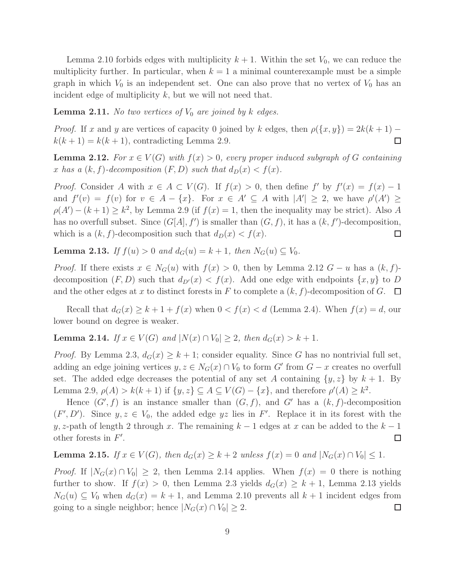Lemma 2.10 forbids edges with multiplicity  $k + 1$ . Within the set  $V_0$ , we can reduce the multiplicity further. In particular, when  $k = 1$  a minimal counterexample must be a simple graph in which  $V_0$  is an independent set. One can also prove that no vertex of  $V_0$  has an incident edge of multiplicity  $k$ , but we will not need that.

**Lemma 2.11.** No two vertices of  $V_0$  are joined by k edges.

*Proof.* If x and y are vertices of capacity 0 joined by k edges, then  $\rho(\lbrace x,y \rbrace) = 2k(k+1)$  $k(k+1) = k(k+1)$ , contradicting Lemma 2.9.  $\Box$ 

**Lemma 2.12.** For  $x \in V(G)$  with  $f(x) > 0$ , every proper induced subgraph of G containing x has a  $(k, f)$ -decomposition  $(F, D)$  such that  $d_D(x) < f(x)$ .

*Proof.* Consider A with  $x \in A \subset V(G)$ . If  $f(x) > 0$ , then define  $f'$  by  $f'(x) = f(x) - 1$ and  $f'(v) = f(v)$  for  $v \in A - \{x\}$ . For  $x \in A' \subseteq A$  with  $|A'| \geq 2$ , we have  $\rho'(A') \geq 1$  $\rho(A') - (k+1) \geq k^2$ , by Lemma 2.9 (if  $f(x) = 1$ , then the inequality may be strict). Also A has no overfull subset. Since  $(G[A], f')$  is smaller than  $(G, f)$ , it has a  $(k, f')$ -decomposition, which is a  $(k, f)$ -decomposition such that  $d_D(x) < f(x)$ .  $\Box$ 

**Lemma 2.13.** If  $f(u) > 0$  and  $d_G(u) = k + 1$ , then  $N_G(u) \subseteq V_0$ .

*Proof.* If there exists  $x \in N_G(u)$  with  $f(x) > 0$ , then by Lemma 2.12  $G - u$  has a  $(k, f)$ decomposition  $(F, D)$  such that  $d_{D'}(x) < f(x)$ . Add one edge with endpoints  $\{x, y\}$  to D and the other edges at x to distinct forests in F to complete a  $(k, f)$ -decomposition of G.  $\Box$ 

Recall that  $d_G(x) \geq k+1+f(x)$  when  $0 < f(x) < d$  (Lemma 2.4). When  $f(x) = d$ , our lower bound on degree is weaker.

**Lemma 2.14.** If  $x \in V(G)$  and  $|N(x) \cap V_0| \geq 2$ , then  $d_G(x) > k + 1$ .

*Proof.* By Lemma 2.3,  $d_G(x) \geq k+1$ ; consider equality. Since G has no nontrivial full set, adding an edge joining vertices  $y, z \in N_G(x) \cap V_0$  to form  $G'$  from  $G - x$  creates no overfull set. The added edge decreases the potential of any set A containing  $\{y, z\}$  by  $k + 1$ . By Lemma 2.9,  $\rho(A) > k(k+1)$  if  $\{y, z\} \subseteq A \subseteq V(G) - \{x\}$ , and therefore  $\rho'(A) \geq k^2$ .

Hence  $(G', f)$  is an instance smaller than  $(G, f)$ , and G' has a  $(k, f)$ -decomposition  $(F', D')$ . Since  $y, z \in V_0$ , the added edge yz lies in F'. Replace it in its forest with the y, z-path of length 2 through x. The remaining  $k-1$  edges at x can be added to the  $k-1$ other forests in  $F'$ .  $\Box$ 

**Lemma 2.15.** If  $x \in V(G)$ , then  $d_G(x) \ge k + 2$  unless  $f(x) = 0$  and  $|N_G(x) \cap V_0| \le 1$ .

*Proof.* If  $|N_G(x) \cap V_0| \geq 2$ , then Lemma 2.14 applies. When  $f(x) = 0$  there is nothing further to show. If  $f(x) > 0$ , then Lemma 2.3 yields  $d_G(x) \geq k+1$ , Lemma 2.13 yields  $N_G(u) \subseteq V_0$  when  $d_G(x) = k + 1$ , and Lemma 2.10 prevents all  $k + 1$  incident edges from going to a single neighbor; hence  $|N_G(x) \cap V_0| \geq 2$ .  $\Box$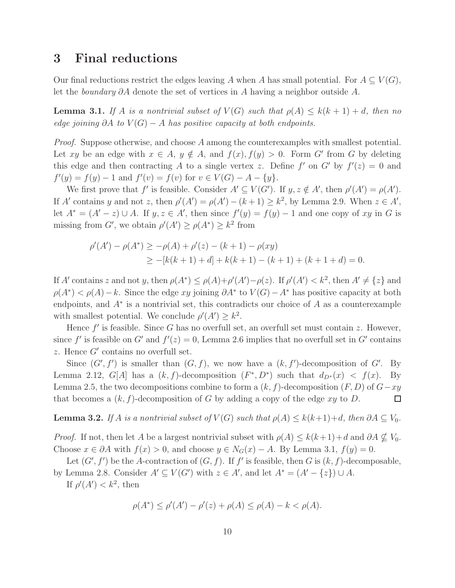### 3 Final reductions

Our final reductions restrict the edges leaving A when A has small potential. For  $A \subseteq V(G)$ , let the boundary ∂A denote the set of vertices in A having a neighbor outside A.

**Lemma 3.1.** If A is a nontrivial subset of  $V(G)$  such that  $\rho(A) \leq k(k+1) + d$ , then no edge joining ∂A to  $V(G) - A$  has positive capacity at both endpoints.

*Proof.* Suppose otherwise, and choose  $A$  among the counterexamples with smallest potential. Let xy be an edge with  $x \in A$ ,  $y \notin A$ , and  $f(x)$ ,  $f(y) > 0$ . Form G' from G by deleting this edge and then contracting A to a single vertex z. Define  $f'$  on  $G'$  by  $f'(z) = 0$  and  $f'(y) = f(y) - 1$  and  $f'(v) = f(v)$  for  $v \in V(G) - A - \{y\}.$ 

We first prove that f' is feasible. Consider  $A' \subseteq V(G')$ . If  $y, z \notin A'$ , then  $\rho'(A') = \rho(A')$ . If A' contains y and not z, then  $\rho'(A') = \rho(A') - (k+1) \geq k^2$ , by Lemma 2.9. When  $z \in A'$ , let  $A^* = (A' - z) \cup A$ . If  $y, z \in A'$ , then since  $f'(y) = f(y) - 1$  and one copy of xy in G is missing from G', we obtain  $\rho'(A') \geq \rho(A^*) \geq k^2$  from

$$
\rho'(A') - \rho(A^*) \ge -\rho(A) + \rho'(z) - (k+1) - \rho(xy)
$$
  
\n
$$
\ge -[k(k+1) + d] + k(k+1) - (k+1) + (k+1+d) = 0.
$$

If A' contains z and not y, then  $\rho(A^*) \leq \rho(A) + \rho'(A') - \rho(z)$ . If  $\rho'(A') < k^2$ , then  $A' \neq \{z\}$  and  $\rho(A^*) < \rho(A) - k$ . Since the edge xy joining  $\partial A^*$  to  $V(G) - A^*$  has positive capacity at both endpoints, and  $A^*$  is a nontrivial set, this contradicts our choice of A as a counterexample with smallest potential. We conclude  $\rho'(A') \geq k^2$ .

Hence  $f'$  is feasible. Since G has no overfull set, an overfull set must contain z. However, since f' is feasible on G' and  $f'(z) = 0$ , Lemma 2.6 implies that no overfull set in G' contains  $z$ . Hence  $G'$  contains no overfull set.

Since  $(G', f')$  is smaller than  $(G, f)$ , we now have a  $(k, f')$ -decomposition of G'. By Lemma 2.12,  $G[A]$  has a  $(k, f)$ -decomposition  $(F^*, D^*)$  such that  $d_{D^*}(x) < f(x)$ . By Lemma 2.5, the two decompositions combine to form a  $(k, f)$ -decomposition  $(F, D)$  of  $G-xy$ that becomes a  $(k, f)$ -decomposition of G by adding a copy of the edge xy to D.  $\Box$ 

**Lemma 3.2.** If A is a nontrivial subset of  $V(G)$  such that  $\rho(A) \leq k(k+1)+d$ , then  $\partial A \subseteq V_0$ .

*Proof.* If not, then let A be a largest nontrivial subset with  $\rho(A) \leq k(k+1)+d$  and  $\partial A \nsubseteq V_0$ . Choose  $x \in \partial A$  with  $f(x) > 0$ , and choose  $y \in N_G(x) - A$ . By Lemma 3.1,  $f(y) = 0$ .

Let  $(G', f')$  be the A-contraction of  $(G, f)$ . If f' is feasible, then G is  $(k, f)$ -decomposable, by Lemma 2.8. Consider  $A' \subseteq V(G')$  with  $z \in A'$ , and let  $A^* = (A' - \{z\}) \cup A$ .

If  $\rho'(A') < k^2$ , then

$$
\rho(A^*) \le \rho'(A') - \rho'(z) + \rho(A) \le \rho(A) - k < \rho(A).
$$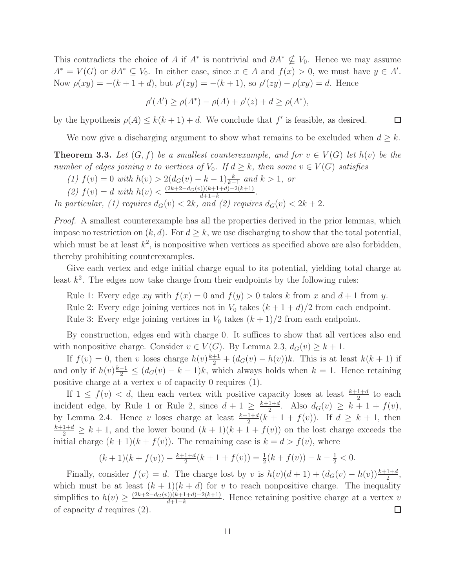This contradicts the choice of A if  $A^*$  is nontrivial and  $\partial A^* \nsubseteq V_0$ . Hence we may assume  $A^* = V(G)$  or  $\partial A^* \subseteq V_0$ . In either case, since  $x \in A$  and  $f(x) > 0$ , we must have  $y \in A'$ . Now  $\rho(xy) = -(k+1+d)$ , but  $\rho'(zy) = -(k+1)$ , so  $\rho'(zy) - \rho(xy) = d$ . Hence

$$
\rho'(A') \ge \rho(A^*) - \rho(A) + \rho'(z) + d \ge \rho(A^*),
$$

by the hypothesis  $\rho(A) \leq k(k+1) + d$ . We conclude that f' is feasible, as desired.

We now give a discharging argument to show what remains to be excluded when  $d \geq k$ .

 $\Box$ 

**Theorem 3.3.** Let  $(G, f)$  be a smallest counterexample, and for  $v \in V(G)$  let  $h(v)$  be the number of edges joining v to vertices of  $V_0$ . If  $d \geq k$ , then some  $v \in V(G)$  satisfies

- (1)  $f(v) = 0$  with  $h(v) > 2(d_G(v) k 1)\frac{k}{k-1}$  and  $k > 1$ , or
- (2)  $f(v) = d$  with  $h(v) < \frac{(2k+2-d_G(v))(k+1+d)-2(k+1)}{d+1-k}$  $\frac{d+1-k}{d+1-k}$ .

In particular, (1) requires  $d_G(v) < 2k$ , and (2) requires  $d_G(v) < 2k + 2$ .

Proof. A smallest counterexample has all the properties derived in the prior lemmas, which impose no restriction on  $(k, d)$ . For  $d \geq k$ , we use discharging to show that the total potential, which must be at least  $k^2$ , is nonpositive when vertices as specified above are also forbidden, thereby prohibiting counterexamples.

Give each vertex and edge initial charge equal to its potential, yielding total charge at least  $k^2$ . The edges now take charge from their endpoints by the following rules:

Rule 1: Every edge xy with  $f(x) = 0$  and  $f(y) > 0$  takes k from x and  $d + 1$  from y.

Rule 2: Every edge joining vertices not in  $V_0$  takes  $(k + 1 + d)/2$  from each endpoint.

Rule 3: Every edge joining vertices in  $V_0$  takes  $(k+1)/2$  from each endpoint.

By construction, edges end with charge 0. It suffices to show that all vertices also end with nonpositive charge. Consider  $v \in V(G)$ . By Lemma 2.3,  $d_G(v) \geq k+1$ .

If  $f(v) = 0$ , then v loses charge  $h(v)\frac{k+1}{2} + (d_G(v) - h(v))k$ . This is at least  $k(k+1)$  if and only if  $h(v) \frac{k-1}{2} \leq (d_G(v) - k - 1)k$ , which always holds when  $k = 1$ . Hence retaining positive charge at a vertex  $v$  of capacity 0 requires (1).

If  $1 \leq f(v) < d$ , then each vertex with positive capacity loses at least  $\frac{k+1+d}{2}$  to each incident edge, by Rule 1 or Rule 2, since  $d+1 \geq \frac{k+1+d}{2}$  $\frac{1+d}{2}$ . Also  $d_G(v) \geq k + 1 + f(v)$ , by Lemma 2.4. Hence v loses charge at least  $\frac{k+1+d}{2}(k+1+f(v))$ . If  $d \geq k+1$ , then  $\frac{k+1+d}{2} \geq k+1$ , and the lower bound  $(k+1)(k+1+f(v))$  on the lost charge exceeds the initial charge  $(k + 1)(k + f(v))$ . The remaining case is  $k = d > f(v)$ , where

$$
(k+1)(k+f(v)) - \frac{k+1+d}{2}(k+1+f(v)) = \frac{1}{2}(k+f(v)) - k - \frac{1}{2} < 0.
$$

Finally, consider  $f(v) = d$ . The charge lost by v is  $h(v)(d+1) + (d_G(v) - h(v))\frac{k+1+d}{2}$ , which must be at least  $(k + 1)(k + d)$  for v to reach nonpositive charge. The inequality simplifies to  $h(v) \geq \frac{(2k+2-d_G(v))(k+1+d)-2(k+1)}{d+1-k}$  $\frac{d}{dt} \frac{d+1-a}{-k} = 1$ . Hence retaining positive charge at a vertex v of capacity  $d$  requires  $(2)$ .  $\Box$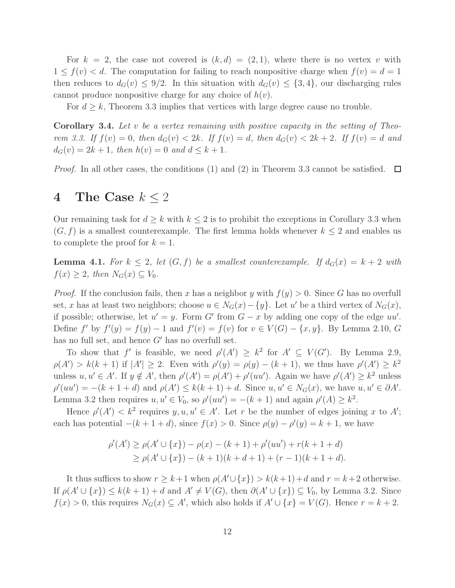For  $k = 2$ , the case not covered is  $(k, d) = (2, 1)$ , where there is no vertex v with  $1 \leq f(v) < d$ . The computation for failing to reach nonpositive charge when  $f(v) = d = 1$ then reduces to  $d_G(v) \leq 9/2$ . In this situation with  $d_G(v) \leq \{3, 4\}$ , our discharging rules cannot produce nonpositive charge for any choice of  $h(v)$ .

For  $d \geq k$ , Theorem 3.3 implies that vertices with large degree cause no trouble.

**Corollary 3.4.** Let v be a vertex remaining with positive capacity in the setting of Theorem 3.3. If  $f(v) = 0$ , then  $d_G(v) < 2k$ . If  $f(v) = d$ , then  $d_G(v) < 2k + 2$ . If  $f(v) = d$  and  $d_G(v) = 2k + 1$ , then  $h(v) = 0$  and  $d \leq k + 1$ .

*Proof.* In all other cases, the conditions (1) and (2) in Theorem 3.3 cannot be satisfied.  $\Box$ 

# 4 The Case  $k \leq 2$

Our remaining task for  $d \geq k$  with  $k \leq 2$  is to prohibit the exceptions in Corollary 3.3 when  $(G, f)$  is a smallest counterexample. The first lemma holds whenever  $k \leq 2$  and enables us to complete the proof for  $k = 1$ .

**Lemma 4.1.** For  $k \leq 2$ , let  $(G, f)$  be a smallest counterexample. If  $d_G(x) = k + 2$  with  $f(x) \geq 2$ , then  $N_G(x) \subseteq V_0$ .

*Proof.* If the conclusion fails, then x has a neighbor y with  $f(y) > 0$ . Since G has no overfull set, x has at least two neighbors; choose  $u \in N_G(x) - \{y\}$ . Let u' be a third vertex of  $N_G(x)$ , if possible; otherwise, let  $u' = y$ . Form G' from  $G - x$  by adding one copy of the edge  $uu'$ . Define  $f'$  by  $f'(y) = f(y) - 1$  and  $f'(v) = f(v)$  for  $v \in V(G) - \{x, y\}$ . By Lemma 2.10, G has no full set, and hence  $G'$  has no overfull set.

To show that f' is feasible, we need  $\rho'(A') \geq k^2$  for  $A' \subseteq V(G')$ . By Lemma 2.9,  $\rho(A') > k(k+1)$  if  $|A'| \geq 2$ . Even with  $\rho'(y) = \rho(y) - (k+1)$ , we thus have  $\rho'(A') \geq k^2$ unless  $u, u' \in A'$ . If  $y \notin A'$ , then  $\rho'(A') = \rho(A') + \rho'(uu')$ . Again we have  $\rho'(A') \geq k^2$  unless  $\rho'(uu') = -(k+1+d)$  and  $\rho(A') \leq k(k+1)+d$ . Since  $u, u' \in N_G(x)$ , we have  $u, u' \in \partial A'$ . Lemma 3.2 then requires  $u, u' \in V_0$ , so  $\rho'(uu') = -(k+1)$  and again  $\rho'(A) \geq k^2$ .

Hence  $\rho'(A') < k^2$  requires  $y, u, u' \in A'$ . Let r be the number of edges joining x to A'; each has potential  $-(k+1+d)$ , since  $f(x) > 0$ . Since  $\rho(y) - \rho'(y) = k+1$ , we have

$$
\rho'(A') \ge \rho(A' \cup \{x\}) - \rho(x) - (k+1) + \rho'(uu') + r(k+1+d)
$$
  
\n
$$
\ge \rho(A' \cup \{x\}) - (k+1)(k+d+1) + (r-1)(k+1+d).
$$

It thus suffices to show  $r \geq k+1$  when  $\rho(A' \cup \{x\}) > k(k+1)+d$  and  $r = k+2$  otherwise. If  $\rho(A' \cup \{x\}) \leq k(k+1) + d$  and  $A' \neq V(G)$ , then  $\partial(A' \cup \{x\}) \subseteq V_0$ , by Lemma 3.2. Since  $f(x) > 0$ , this requires  $N_G(x) \subseteq A'$ , which also holds if  $A' \cup \{x\} = V(G)$ . Hence  $r = k + 2$ .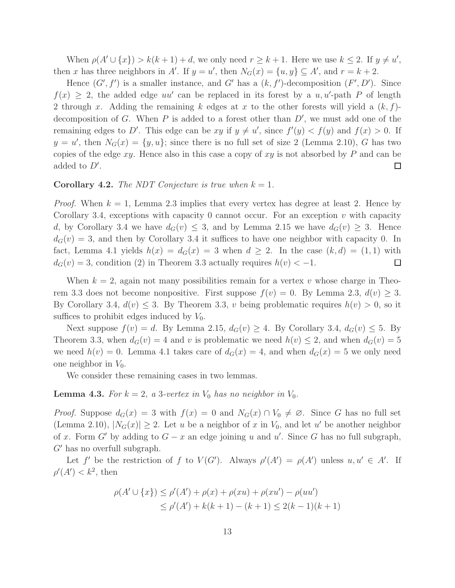When  $\rho(A' \cup \{x\}) > k(k+1) + d$ , we only need  $r \geq k+1$ . Here we use  $k \leq 2$ . If  $y \neq u'$ , then x has three neighbors in A'. If  $y = u'$ , then  $N_G(x) = \{u, y\} \subseteq A'$ , and  $r = k + 2$ .

Hence  $(G', f')$  is a smaller instance, and G' has a  $(k, f')$ -decomposition  $(F', D')$ . Since  $f(x) \geq 2$ , the added edge uu' can be replaced in its forest by a u, u'-path P of length 2 through x. Adding the remaining k edges at x to the other forests will yield a  $(k, f)$ decomposition of G. When  $P$  is added to a forest other than  $D'$ , we must add one of the remaining edges to D'. This edge can be xy if  $y \neq u'$ , since  $f'(y) < f(y)$  and  $f(x) > 0$ . If  $y = u'$ , then  $N_G(x) = \{y, u\}$ ; since there is no full set of size 2 (Lemma 2.10), G has two copies of the edge  $xy$ . Hence also in this case a copy of  $xy$  is not absorbed by P and can be added to  $D'$ .  $\Box$ 

#### **Corollary 4.2.** The NDT Conjecture is true when  $k = 1$ .

*Proof.* When  $k = 1$ , Lemma 2.3 implies that every vertex has degree at least 2. Hence by Corollary 3.4, exceptions with capacity 0 cannot occur. For an exception  $v$  with capacity d, by Corollary 3.4 we have  $d_G(v) \leq 3$ , and by Lemma 2.15 we have  $d_G(v) \geq 3$ . Hence  $d_G(v) = 3$ , and then by Corollary 3.4 it suffices to have one neighbor with capacity 0. In fact, Lemma 4.1 yields  $h(x) = d_G(x) = 3$  when  $d \geq 2$ . In the case  $(k, d) = (1, 1)$  with  $d_G(v) = 3$ , condition (2) in Theorem 3.3 actually requires  $h(v) < -1$ .  $\Box$ 

When  $k = 2$ , again not many possibilities remain for a vertex v whose charge in Theorem 3.3 does not become nonpositive. First suppose  $f(v) = 0$ . By Lemma 2.3,  $d(v) \ge 3$ . By Corollary 3.4,  $d(v) \leq 3$ . By Theorem 3.3, v being problematic requires  $h(v) > 0$ , so it suffices to prohibit edges induced by  $V_0$ .

Next suppose  $f(v) = d$ . By Lemma 2.15,  $d_G(v) \geq 4$ . By Corollary 3.4,  $d_G(v) \leq 5$ . By Theorem 3.3, when  $d_G(v) = 4$  and v is problematic we need  $h(v) \leq 2$ , and when  $d_G(v) = 5$ we need  $h(v) = 0$ . Lemma 4.1 takes care of  $d_G(x) = 4$ , and when  $d_G(x) = 5$  we only need one neighbor in  $V_0$ .

We consider these remaining cases in two lemmas.

**Lemma 4.3.** For  $k = 2$ , a 3-vertex in  $V_0$  has no neighbor in  $V_0$ .

*Proof.* Suppose  $d_G(x) = 3$  with  $f(x) = 0$  and  $N_G(x) \cap V_0 \neq \emptyset$ . Since G has no full set (Lemma 2.10),  $|N_G(x)| \geq 2$ . Let u be a neighbor of x in  $V_0$ , and let u' be another neighbor of x. Form G' by adding to  $G - x$  an edge joining u and u'. Since G has no full subgraph, G′ has no overfull subgraph.

Let f' be the restriction of f to  $V(G')$ . Always  $\rho'(A') = \rho(A')$  unless  $u, u' \in A'$ . If  $\rho'(A') < k^2$ , then

$$
\rho(A' \cup \{x\}) \le \rho'(A') + \rho(x) + \rho(xu) + \rho(xu') - \rho(uu')
$$
  
\n
$$
\le \rho'(A') + k(k+1) - (k+1) \le 2(k-1)(k+1)
$$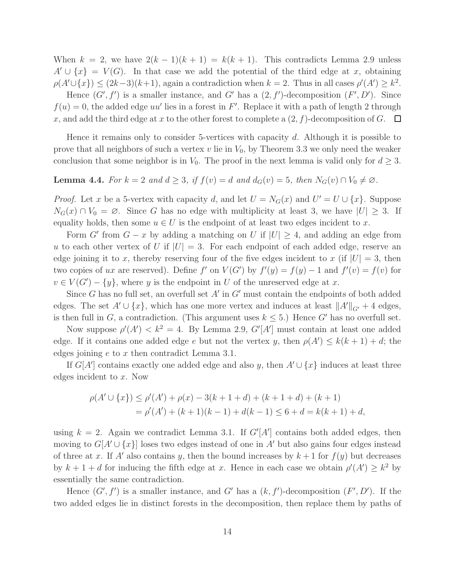When  $k = 2$ , we have  $2(k-1)(k+1) = k(k+1)$ . This contradicts Lemma 2.9 unless  $A' \cup \{x\} = V(G)$ . In that case we add the potential of the third edge at x, obtaining  $\rho(A' \cup \{x\}) \leq (2k-3)(k+1)$ , again a contradiction when  $k = 2$ . Thus in all cases  $\rho'(A') \geq k^2$ .

Hence  $(G', f')$  is a smaller instance, and G' has a  $(2, f')$ -decomposition  $(F', D')$ . Since  $f(u) = 0$ , the added edge uu' lies in a forest in F'. Replace it with a path of length 2 through x, and add the third edge at x to the other forest to complete a  $(2, f)$ -decomposition of G.  $\Box$ 

Hence it remains only to consider 5-vertices with capacity d. Although it is possible to prove that all neighbors of such a vertex v lie in  $V_0$ , by Theorem 3.3 we only need the weaker conclusion that some neighbor is in  $V_0$ . The proof in the next lemma is valid only for  $d \geq 3$ .

# **Lemma 4.4.** For  $k = 2$  and  $d \geq 3$ , if  $f(v) = d$  and  $d_G(v) = 5$ , then  $N_G(v) \cap V_0 \neq \emptyset$ .

*Proof.* Let x be a 5-vertex with capacity d, and let  $U = N_G(x)$  and  $U' = U \cup \{x\}$ . Suppose  $N_G(x) \cap V_0 = \emptyset$ . Since G has no edge with multiplicity at least 3, we have  $|U| \geq 3$ . If equality holds, then some  $u \in U$  is the endpoint of at least two edges incident to x.

Form G' from  $G - x$  by adding a matching on U if  $|U| \geq 4$ , and adding an edge from u to each other vertex of U if  $|U| = 3$ . For each endpoint of each added edge, reserve an edge joining it to x, thereby reserving four of the five edges incident to x (if  $|U| = 3$ , then two copies of ux are reserved). Define f' on  $V(G')$  by  $f'(y) = f(y) - 1$  and  $f'(v) = f(v)$  for  $v \in V(G') - \{y\}$ , where y is the endpoint in U of the unreserved edge at x.

Since  $G$  has no full set, an overfull set  $A'$  in  $G'$  must contain the endpoints of both added edges. The set  $A' \cup \{x\}$ , which has one more vertex and induces at least  $||A'||_{G'} + 4$  edges, is then full in G, a contradiction. (This argument uses  $k \leq 5$ .) Hence G' has no overfull set.

Now suppose  $\rho'(A') < k^2 = 4$ . By Lemma 2.9,  $G'[A']$  must contain at least one added edge. If it contains one added edge e but not the vertex y, then  $\rho(A') \leq k(k+1) + d$ ; the edges joining  $e$  to  $x$  then contradict Lemma 3.1.

If  $G[A']$  contains exactly one added edge and also y, then  $A' \cup \{x\}$  induces at least three edges incident to x. Now

$$
\rho(A' \cup \{x\}) \le \rho'(A') + \rho(x) - 3(k+1+d) + (k+1+d) + (k+1)
$$
  
=  $\rho'(A') + (k+1)(k-1) + d(k-1) \le 6 + d = k(k+1) + d$ ,

using  $k = 2$ . Again we contradict Lemma 3.1. If  $G'[A']$  contains both added edges, then moving to  $G[A' \cup \{x\}]$  loses two edges instead of one in A' but also gains four edges instead of three at x. If A' also contains y, then the bound increases by  $k+1$  for  $f(y)$  but decreases by  $k+1+d$  for inducing the fifth edge at x. Hence in each case we obtain  $\rho'(A') \geq k^2$  by essentially the same contradiction.

Hence  $(G', f')$  is a smaller instance, and G' has a  $(k, f')$ -decomposition  $(F', D')$ . If the two added edges lie in distinct forests in the decomposition, then replace them by paths of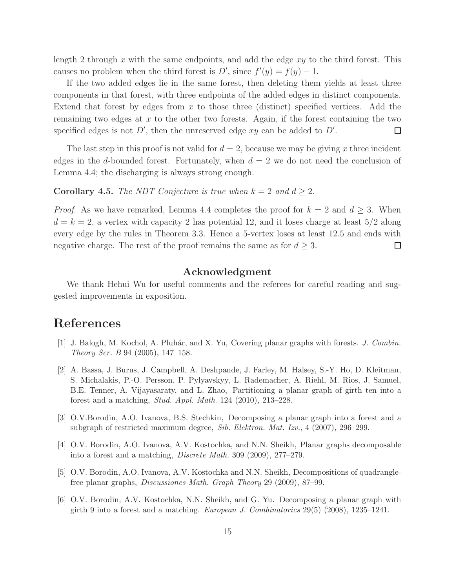length 2 through x with the same endpoints, and add the edge  $xy$  to the third forest. This causes no problem when the third forest is  $D'$ , since  $f'(y) = f(y) - 1$ .

If the two added edges lie in the same forest, then deleting them yields at least three components in that forest, with three endpoints of the added edges in distinct components. Extend that forest by edges from  $x$  to those three (distinct) specified vertices. Add the remaining two edges at  $x$  to the other two forests. Again, if the forest containing the two specified edges is not  $D'$ , then the unreserved edge  $xy$  can be added to  $D'$ .  $\Box$ 

The last step in this proof is not valid for  $d = 2$ , because we may be giving x three incident edges in the d-bounded forest. Fortunately, when  $d = 2$  we do not need the conclusion of Lemma 4.4; the discharging is always strong enough.

**Corollary 4.5.** The NDT Conjecture is true when  $k = 2$  and  $d \ge 2$ .

*Proof.* As we have remarked, Lemma 4.4 completes the proof for  $k = 2$  and  $d \geq 3$ . When  $d = k = 2$ , a vertex with capacity 2 has potential 12, and it loses charge at least  $5/2$  along every edge by the rules in Theorem 3.3. Hence a 5-vertex loses at least 12.5 and ends with negative charge. The rest of the proof remains the same as for  $d \geq 3$ .  $\Box$ 

#### Acknowledgment

We thank Hehui Wu for useful comments and the referees for careful reading and suggested improvements in exposition.

### References

- [1] J. Balogh, M. Kochol, A. Pluhár, and X. Yu, Covering planar graphs with forests. J. Combin. Theory Ser. B 94 (2005), 147–158.
- [2] A. Bassa, J. Burns, J. Campbell, A. Deshpande, J. Farley, M. Halsey, S.-Y. Ho, D. Kleitman, S. Michalakis, P.-O. Persson, P. Pylyavskyy, L. Rademacher, A. Riehl, M. Rios, J. Samuel, B.E. Tenner, A. Vijayasaraty, and L. Zhao, Partitioning a planar graph of girth ten into a forest and a matching, Stud. Appl. Math. 124 (2010), 213–228.
- [3] O.V.Borodin, A.O. Ivanova, B.S. Stechkin, Decomposing a planar graph into a forest and a subgraph of restricted maximum degree, Sib. Elektron. Mat. Izv., 4 (2007), 296–299.
- [4] O.V. Borodin, A.O. Ivanova, A.V. Kostochka, and N.N. Sheikh, Planar graphs decomposable into a forest and a matching, Discrete Math. 309 (2009), 277–279.
- [5] O.V. Borodin, A.O. Ivanova, A.V. Kostochka and N.N. Sheikh, Decompositions of quadranglefree planar graphs, Discussiones Math. Graph Theory 29 (2009), 87–99.
- [6] O.V. Borodin, A.V. Kostochka, N.N. Sheikh, and G. Yu. Decomposing a planar graph with girth 9 into a forest and a matching. European J. Combinatorics  $29(5)$  (2008), 1235–1241.